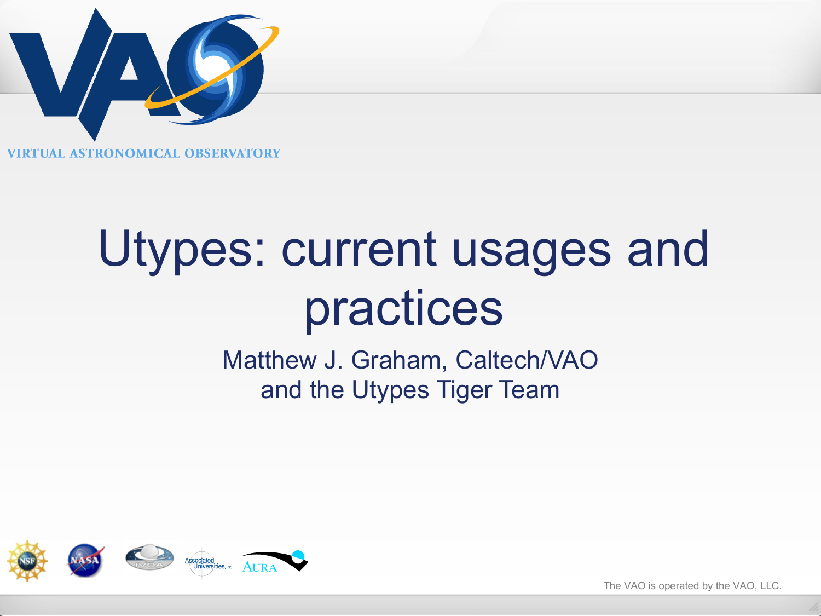

# Utypes: current usages and practices

Matthew J. Graham, Caltech/VAO and the Utypes Tiger Team



The VAO is operated by the VAO, LLC.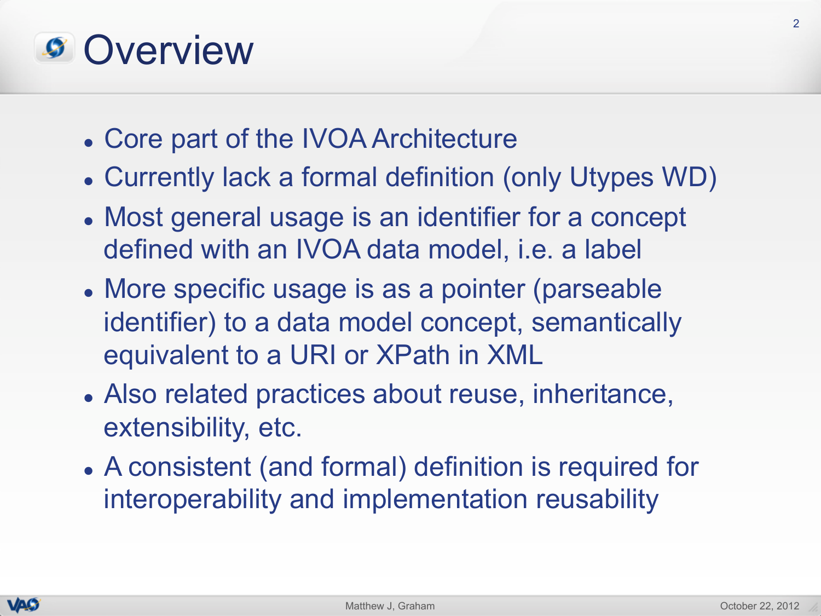#### *S* Overview

- Core part of the IVOA Architecture
- Currently lack a formal definition (only Utypes WD)
- Most general usage is an identifier for a concept defined with an IVOA data model, i.e. a label
- More specific usage is as a pointer (parseable identifier) to a data model concept, semantically equivalent to a URI or XPath in XML
- Also related practices about reuse, inheritance, extensibility, etc.
- A consistent (and formal) definition is required for interoperability and implementation reusability

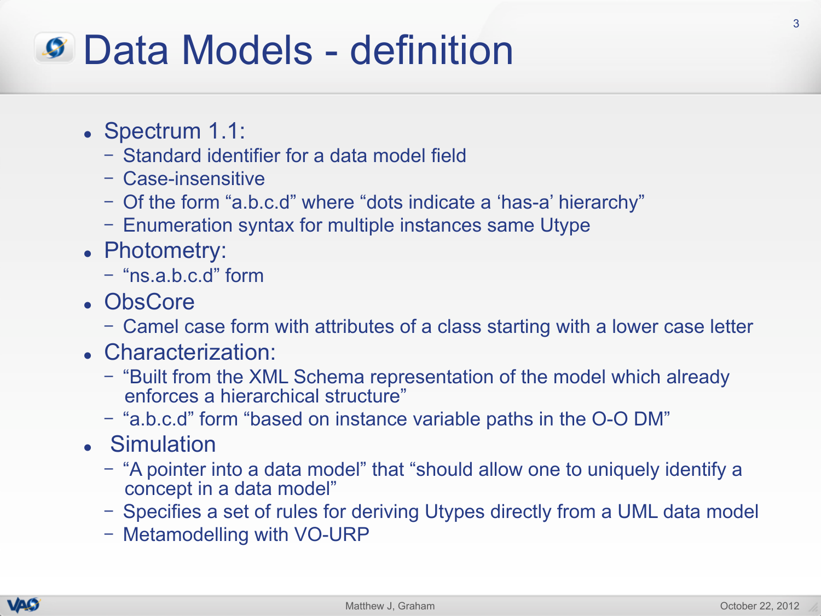#### Data Models - definition

- Spectrum 1.1:
	- Standard identifier for a data model field
	- Case-insensitive
	- Of the form "a.b.c.d" where "dots indicate a 'has-a' hierarchy"
	- Enumeration syntax for multiple instances same Utype
- Photometry:
	- "ns.a.b.c.d" form
- ObsCore
	- Camel case form with attributes of a class starting with a lower case letter
- Characterization:
	- "Built from the XML Schema representation of the model which already enforces a hierarchical structure"
	- "a.b.c.d" form "based on instance variable paths in the O-O DM"
- Simulation
	- "A pointer into a data model" that "should allow one to uniquely identify a concept in a data model"
	- Specifies a set of rules for deriving Utypes directly from a UML data model
	- Metamodelling with VO-URP

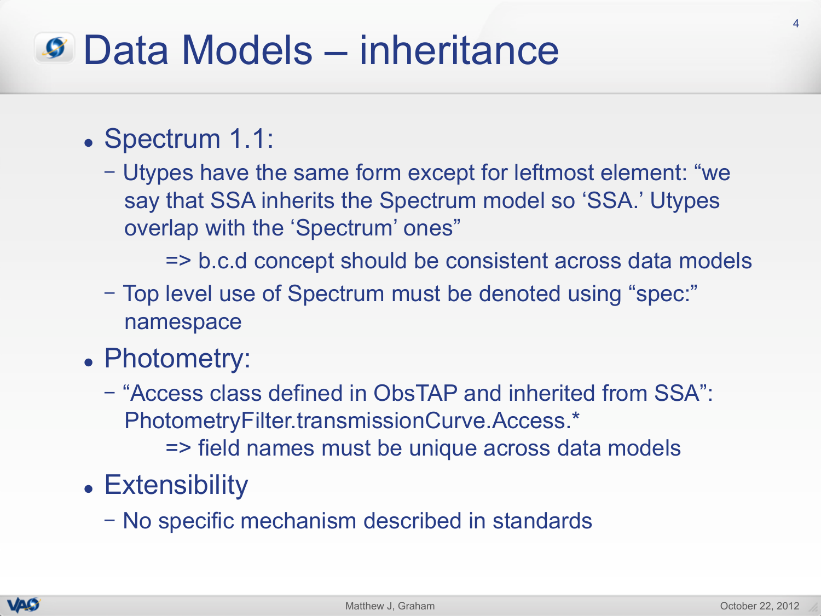#### Data Models – inheritance

- Spectrum 1.1:
	- Utypes have the same form except for leftmost element: "we say that SSA inherits the Spectrum model so 'SSA.' Utypes overlap with the 'Spectrum' ones"

=> b.c.d concept should be consistent across data models

- Top level use of Spectrum must be denoted using "spec:" namespace
- Photometry:
	- "Access class defined in ObsTAP and inherited from SSA": PhotometryFilter.transmissionCurve.Access.\*

=> field names must be unique across data models

- Extensibility
	- No specific mechanism described in standards

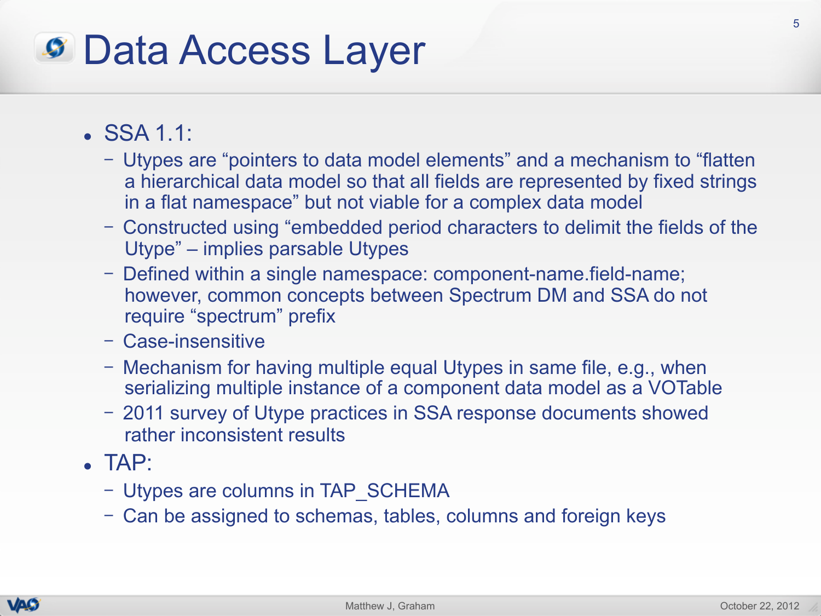## Data Access Layer

- $\cdot$  SSA 1.1:
	- Utypes are "pointers to data model elements" and a mechanism to "flatten a hierarchical data model so that all fields are represented by fixed strings in a flat namespace" but not viable for a complex data model
	- Constructed using "embedded period characters to delimit the fields of the Utype" – implies parsable Utypes
	- Defined within a single namespace: component-name.field-name; however, common concepts between Spectrum DM and SSA do not require "spectrum" prefix
	- Case-insensitive
	- Mechanism for having multiple equal Utypes in same file, e.g., when serializing multiple instance of a component data model as a VOTable
	- 2011 survey of Utype practices in SSA response documents showed rather inconsistent results
- $\blacksquare$  TAP:
	- Utypes are columns in TAP\_SCHEMA
	- Can be assigned to schemas, tables, columns and foreign keys

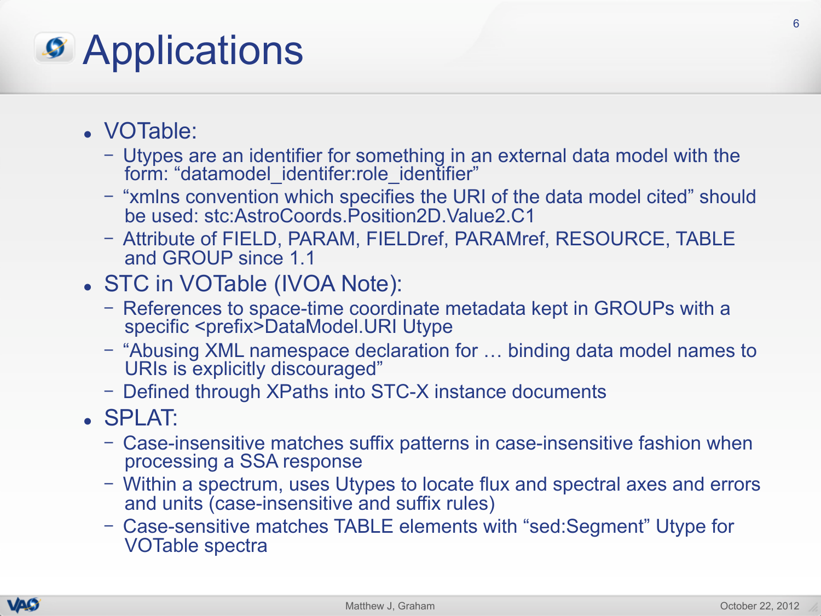# *S* Applications

- VOTable:
	- Utypes are an identifier for something in an external data model with the form: "datamodel\_identifer:role\_identifier"
	- "xmlns convention which specifies the URI of the data model cited" should be used: stc:AstroCoords.Position2D.Value2.C1
	- Attribute of FIELD, PARAM, FIELDref, PARAMref, RESOURCE, TABLE and GROUP since 1.1
- STC in VOTable (IVOA Note):
	- References to space-time coordinate metadata kept in GROUPs with a specific <prefix>DataModel.URI Utype
	- "Abusing XML namespace declaration for … binding data model names to URIs is explicitly discouraged"
	- Defined through XPaths into STC-X instance documents
- . SPLAT:
	- Case-insensitive matches suffix patterns in case-insensitive fashion when processing a SSA response
	- Within a spectrum, uses Utypes to locate flux and spectral axes and errors and units (case-insensitive and suffix rules)
	- Case-sensitive matches TABLE elements with "sed:Segment" Utype for VOTable spectra

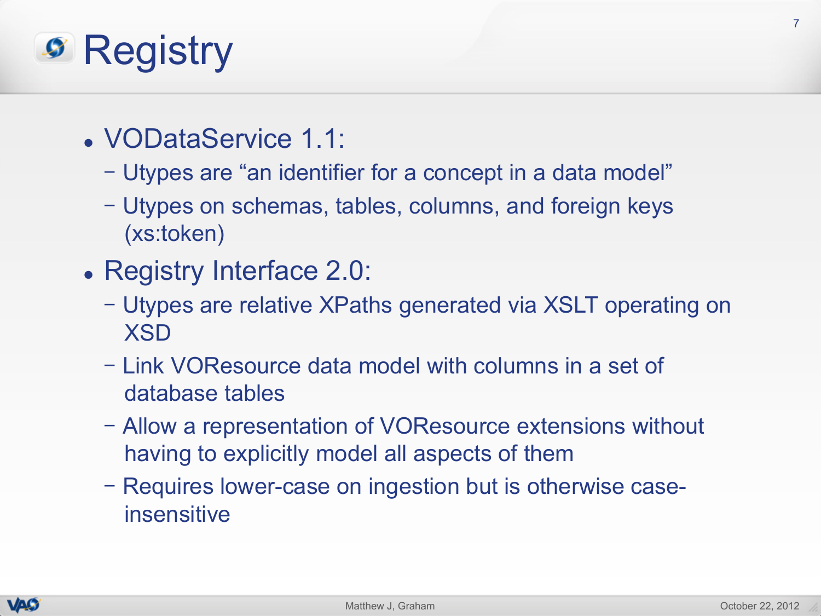# **S** Registry

- VODataService 1.1:
	- Utypes are "an identifier for a concept in a data model"
	- Utypes on schemas, tables, columns, and foreign keys (xs:token)
- Registry Interface 2.0:
	- Utypes are relative XPaths generated via XSLT operating on XSD
	- Link VOResource data model with columns in a set of database tables
	- Allow a representation of VOResource extensions without having to explicitly model all aspects of them
	- Requires lower-case on ingestion but is otherwise caseinsensitive

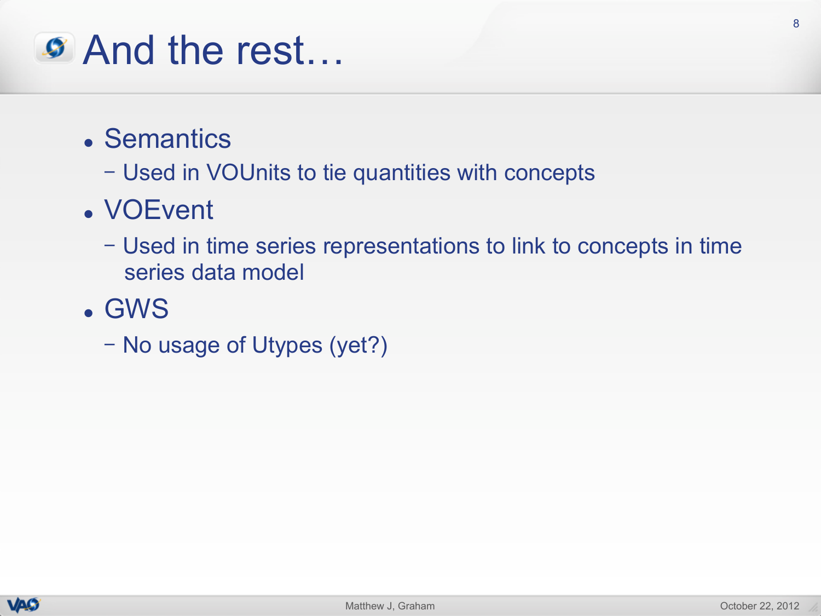## And the rest…

- **.** Semantics
	- Used in VOUnits to tie quantities with concepts
- VOEvent
	- Used in time series representations to link to concepts in time series data model
- <sup>l</sup> GWS
	- No usage of Utypes (yet?)